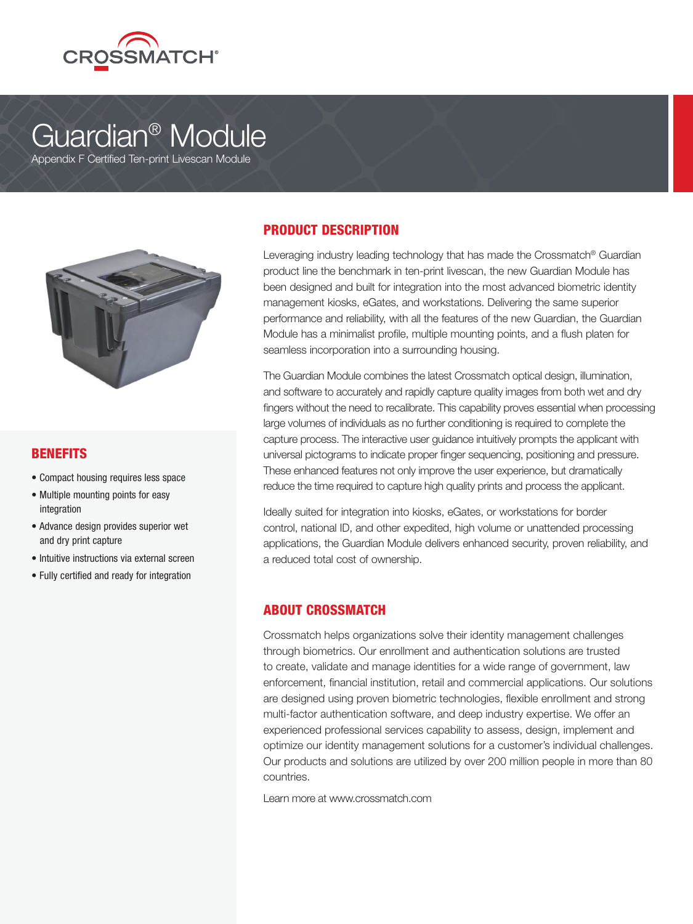

# Guardian® Module

Appendix F Certified Ten-print Livescan Module



#### **BENEFITS**

- Compact housing requires less space
- Multiple mounting points for easy integration
- Advance design provides superior wet and dry print capture
- Intuitive instructions via external screen
- Fully certified and ready for integration

## PRODUCT DESCRIPTION

Leveraging industry leading technology that has made the Crossmatch® Guardian product line the benchmark in ten-print livescan, the new Guardian Module has been designed and built for integration into the most advanced biometric identity management kiosks, eGates, and workstations. Delivering the same superior performance and reliability, with all the features of the new Guardian, the Guardian Module has a minimalist profile, multiple mounting points, and a flush platen for seamless incorporation into a surrounding housing.

The Guardian Module combines the latest Crossmatch optical design, illumination, and software to accurately and rapidly capture quality images from both wet and dry fingers without the need to recalibrate. This capability proves essential when processing large volumes of individuals as no further conditioning is required to complete the capture process. The interactive user guidance intuitively prompts the applicant with universal pictograms to indicate proper finger sequencing, positioning and pressure. These enhanced features not only improve the user experience, but dramatically reduce the time required to capture high quality prints and process the applicant.

Ideally suited for integration into kiosks, eGates, or workstations for border control, national ID, and other expedited, high volume or unattended processing applications, the Guardian Module delivers enhanced security, proven reliability, and a reduced total cost of ownership.

## ABOUT CROSSMATCH

Crossmatch helps organizations solve their identity management challenges through biometrics. Our enrollment and authentication solutions are trusted to create, validate and manage identities for a wide range of government, law enforcement, financial institution, retail and commercial applications. Our solutions are designed using proven biometric technologies, flexible enrollment and strong multi-factor authentication software, and deep industry expertise. We offer an experienced professional services capability to assess, design, implement and optimize our identity management solutions for a customer's individual challenges. Our products and solutions are utilized by over 200 million people in more than 80 countries.

Learn more at www.crossmatch.com